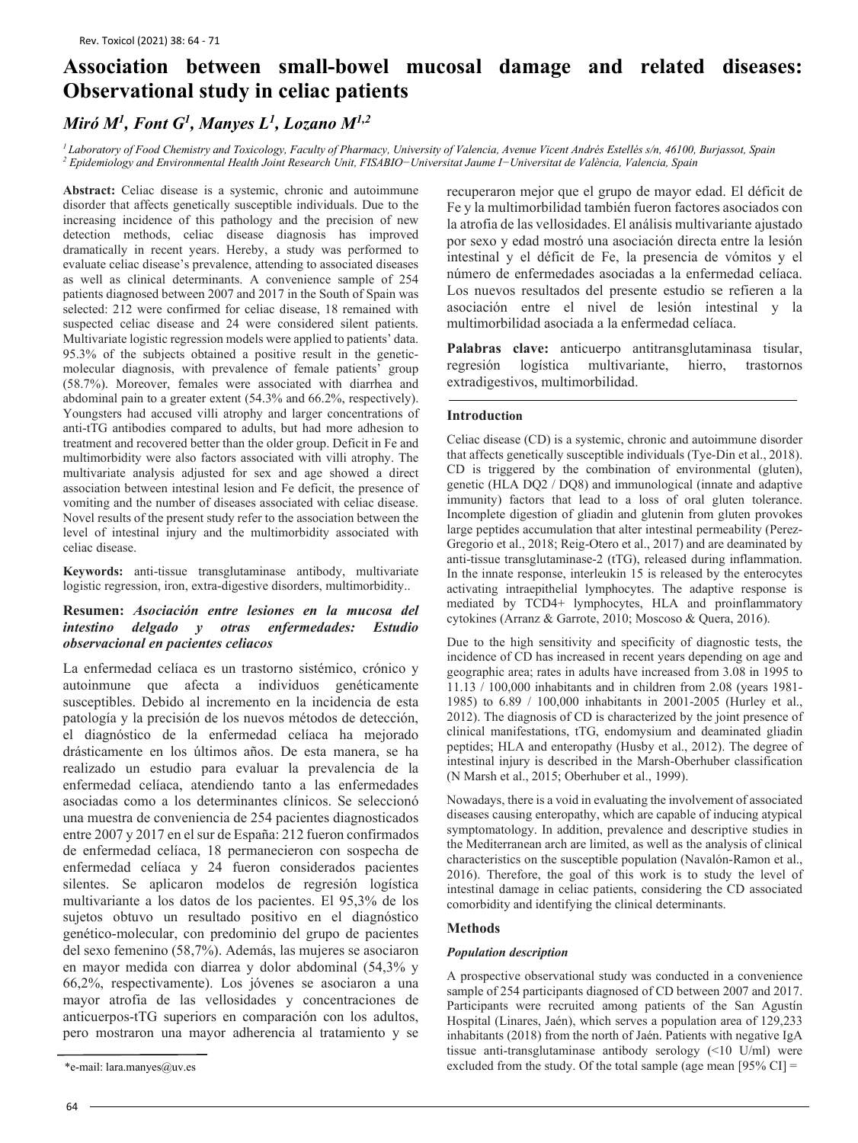# **Association between small-bowel mucosal damage and related diseases: Observational study in celiac patients**

# *Miró M1, Font G1, Manyes L1, Lozano M1,2*

*1 Laboratory of Food Chemistry and Toxicology, Faculty of Pharmacy, University of Valencia, Avenue Vicent Andrés Estellés s/n, 46100, Burjassot, Spain <sup>2</sup> Epidemiology and Environmental Health Joint Research Unit, FISABIO−Universitat Jaume I−Universitat de València, Valencia, Spain*

**Abstract:** Celiac disease is a systemic, chronic and autoimmune disorder that affects genetically susceptible individuals. Due to the increasing incidence of this pathology and the precision of new detection methods, celiac disease diagnosis has improved dramatically in recent years. Hereby, a study was performed to evaluate celiac disease's prevalence, attending to associated diseases as well as clinical determinants. A convenience sample of 254 patients diagnosed between 2007 and 2017 in the South of Spain was selected: 212 were confirmed for celiac disease, 18 remained with suspected celiac disease and 24 were considered silent patients. Multivariate logistic regression models were applied to patients' data. 95.3% of the subjects obtained a positive result in the geneticmolecular diagnosis, with prevalence of female patients' group (58.7%). Moreover, females were associated with diarrhea and abdominal pain to a greater extent (54.3% and 66.2%, respectively). Youngsters had accused villi atrophy and larger concentrations of anti-tTG antibodies compared to adults, but had more adhesion to treatment and recovered better than the older group. Deficit in Fe and multimorbidity were also factors associated with villi atrophy. The multivariate analysis adjusted for sex and age showed a direct association between intestinal lesion and Fe deficit, the presence of vomiting and the number of diseases associated with celiac disease. Novel results of the present study refer to the association between the level of intestinal injury and the multimorbidity associated with celiac disease.

**Keywords:** anti-tissue transglutaminase antibody, multivariate logistic regression, iron, extra-digestive disorders, multimorbidity..

## **Resumen:** *Asociación entre lesiones en la mucosa del intestino delgado y otras enfermedades: Estudio observacional en pacientes celiacos*

La enfermedad celíaca es un trastorno sistémico, crónico y autoinmune que afecta a individuos genéticamente susceptibles. Debido al incremento en la incidencia de esta patología y la precisión de los nuevos métodos de detección, el diagnóstico de la enfermedad celíaca ha mejorado drásticamente en los últimos años. De esta manera, se ha realizado un estudio para evaluar la prevalencia de la enfermedad celíaca, atendiendo tanto a las enfermedades asociadas como a los determinantes clínicos. Se seleccionó una muestra de conveniencia de 254 pacientes diagnosticados entre 2007 y 2017 en el sur de España: 212 fueron confirmados de enfermedad celíaca, 18 permanecieron con sospecha de enfermedad celíaca y 24 fueron considerados pacientes silentes. Se aplicaron modelos de regresión logística multivariante a los datos de los pacientes. El 95,3% de los sujetos obtuvo un resultado positivo en el diagnóstico genético-molecular, con predominio del grupo de pacientes del sexo femenino (58,7%). Además, las mujeres se asociaron en mayor medida con diarrea y dolor abdominal (54,3% y 66,2%, respectivamente). Los jóvenes se asociaron a una mayor atrofia de las vellosidades y concentraciones de anticuerpos-tTG superiors en comparación con los adultos, pero mostraron una mayor adherencia al tratamiento y se

recuperaron mejor que el grupo de mayor edad. El déficit de Fe y la multimorbilidad también fueron factores asociados con la atrofia de las vellosidades. El análisis multivariante ajustado por sexo y edad mostró una asociación directa entre la lesión intestinal y el déficit de Fe, la presencia de vómitos y el número de enfermedades asociadas a la enfermedad celíaca. Los nuevos resultados del presente estudio se refieren a la asociación entre el nivel de lesión intestinal y la multimorbilidad asociada a la enfermedad celíaca.

**Palabras clave:** anticuerpo antitransglutaminasa tisular, regresión logística multivariante, hierro, trastornos extradigestivos, multimorbilidad.

### **Introduction**

Celiac disease (CD) is a systemic, chronic and autoimmune disorder that affects genetically susceptible individuals (Tye-Din et al., 2018). CD is triggered by the combination of environmental (gluten), genetic (HLA DQ2 / DQ8) and immunological (innate and adaptive immunity) factors that lead to a loss of oral gluten tolerance. Incomplete digestion of gliadin and glutenin from gluten provokes large peptides accumulation that alter intestinal permeability (Perez-Gregorio et al., 2018; Reig-Otero et al., 2017) and are deaminated by anti-tissue transglutaminase-2 (tTG), released during inflammation. In the innate response, interleukin 15 is released by the enterocytes activating intraepithelial lymphocytes. The adaptive response is mediated by TCD4+ lymphocytes, HLA and proinflammatory cytokines (Arranz & Garrote, 2010; Moscoso & Quera, 2016).

Due to the high sensitivity and specificity of diagnostic tests, the incidence of CD has increased in recent years depending on age and geographic area; rates in adults have increased from 3.08 in 1995 to 11.13 / 100,000 inhabitants and in children from 2.08 (years 1981- 1985) to 6.89 / 100,000 inhabitants in 2001-2005 (Hurley et al., 2012). The diagnosis of CD is characterized by the joint presence of clinical manifestations, tTG, endomysium and deaminated gliadin peptides; HLA and enteropathy (Husby et al., 2012). The degree of intestinal injury is described in the Marsh-Oberhuber classification (N Marsh et al., 2015; Oberhuber et al., 1999).

Nowadays, there is a void in evaluating the involvement of associated diseases causing enteropathy, which are capable of inducing atypical symptomatology. In addition, prevalence and descriptive studies in the Mediterranean arch are limited, as well as the analysis of clinical characteristics on the susceptible population (Navalón-Ramon et al., 2016). Therefore, the goal of this work is to study the level of intestinal damage in celiac patients, considering the CD associated comorbidity and identifying the clinical determinants.

#### **Methods**

#### *Population description*

A prospective observational study was conducted in a convenience sample of 254 participants diagnosed of CD between 2007 and 2017. Participants were recruited among patients of the San Agustín Hospital (Linares, Jaén), which serves a population area of 129,233 inhabitants (2018) from the north of Jaén. Patients with negative IgA tissue anti-transglutaminase antibody serology (<10 U/ml) were \*e-mail: [lara.manyes@uv.es](mailto:lara.manyes@uv.es) excluded from the study. Of the total sample (age mean [95% CI] =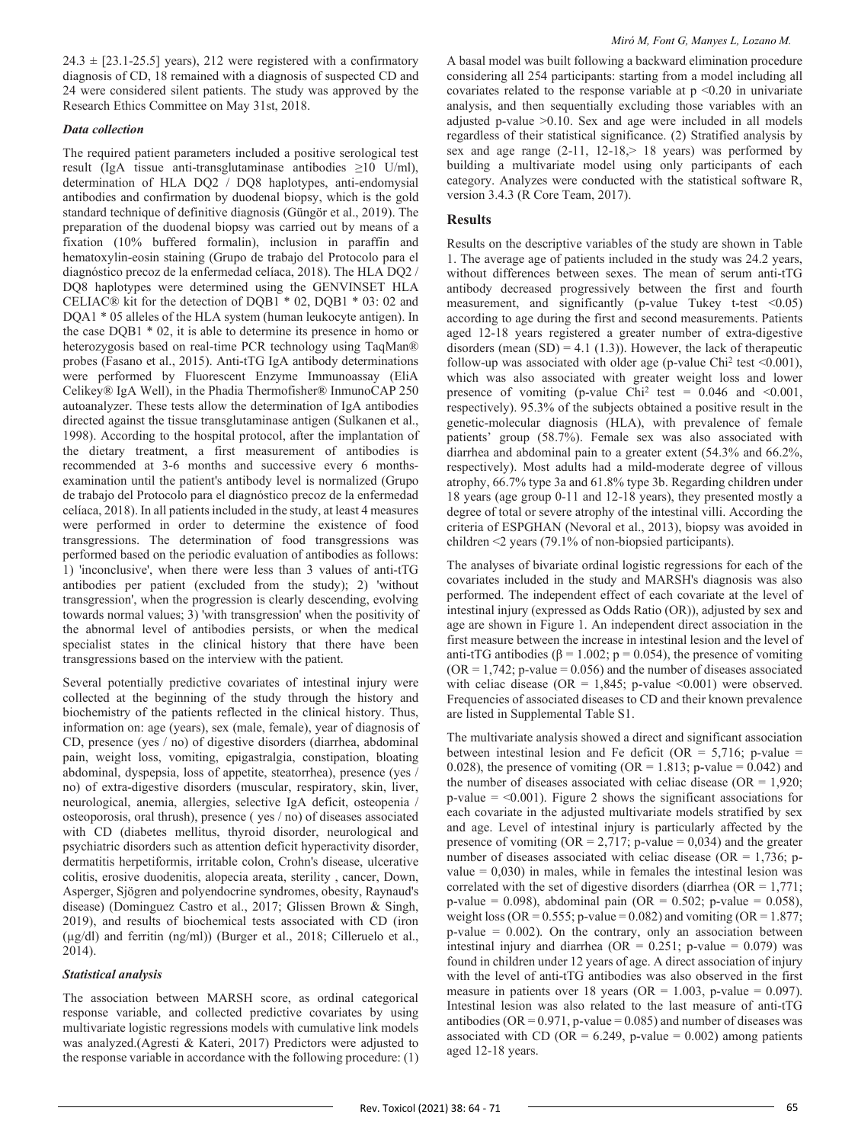$24.3 \pm [23.1 - 25.5]$  years), 212 were registered with a confirmatory diagnosis of CD, 18 remained with a diagnosis of suspected CD and 24 were considered silent patients. The study was approved by the Research Ethics Committee on May 31st, 2018.

### *Data collection*

The required patient parameters included a positive serological test result (IgA tissue anti-transglutaminase antibodies  $\geq 10$  U/ml), determination of HLA DQ2 / DQ8 haplotypes, anti-endomysial antibodies and confirmation by duodenal biopsy, which is the gold standard technique of definitive diagnosis (Güngör et al., 2019). The preparation of the duodenal biopsy was carried out by means of a fixation (10% buffered formalin), inclusion in paraffin and hematoxylin-eosin staining (Grupo de trabajo del Protocolo para el diagnóstico precoz de la enfermedad celíaca, 2018). The HLA DQ2 / DQ8 haplotypes were determined using the GENVINSET HLA CELIAC® kit for the detection of DQB1 \* 02, DQB1 \* 03: 02 and DQA1 \* 05 alleles of the HLA system (human leukocyte antigen). In the case DQB1 \* 02, it is able to determine its presence in homo or heterozygosis based on real-time PCR technology using TaqMan® probes (Fasano et al., 2015). Anti-tTG IgA antibody determinations were performed by Fluorescent Enzyme Immunoassay (EliA Celikey® IgA Well), in the Phadia Thermofisher® InmunoCAP 250 autoanalyzer. These tests allow the determination of IgA antibodies directed against the tissue transglutaminase antigen (Sulkanen et al., 1998). According to the hospital protocol, after the implantation of the dietary treatment, a first measurement of antibodies is recommended at 3-6 months and successive every 6 monthsexamination until the patient's antibody level is normalized (Grupo de trabajo del Protocolo para el diagnóstico precoz de la enfermedad celíaca, 2018). In all patients included in the study, at least 4 measures were performed in order to determine the existence of food transgressions. The determination of food transgressions was performed based on the periodic evaluation of antibodies as follows: 1) 'inconclusive', when there were less than 3 values of anti-tTG antibodies per patient (excluded from the study); 2) 'without transgression', when the progression is clearly descending, evolving towards normal values; 3) 'with transgression' when the positivity of the abnormal level of antibodies persists, or when the medical specialist states in the clinical history that there have been transgressions based on the interview with the patient.

Several potentially predictive covariates of intestinal injury were collected at the beginning of the study through the history and biochemistry of the patients reflected in the clinical history. Thus, information on: age (years), sex (male, female), year of diagnosis of CD, presence (yes / no) of digestive disorders (diarrhea, abdominal pain, weight loss, vomiting, epigastralgia, constipation, bloating abdominal, dyspepsia, loss of appetite, steatorrhea), presence (yes / no) of extra-digestive disorders (muscular, respiratory, skin, liver, neurological, anemia, allergies, selective IgA deficit, osteopenia / osteoporosis, oral thrush), presence ( yes / no) of diseases associated with CD (diabetes mellitus, thyroid disorder, neurological and psychiatric disorders such as attention deficit hyperactivity disorder, dermatitis herpetiformis, irritable colon, Crohn's disease, ulcerative colitis, erosive duodenitis, alopecia areata, sterility , cancer, Down, Asperger, Sjögren and polyendocrine syndromes, obesity, Raynaud's disease) (Dominguez Castro et al., 2017; Glissen Brown & Singh, 2019), and results of biochemical tests associated with CD (iron (µg/dl) and ferritin (ng/ml)) (Burger et al., 2018; Cilleruelo et al., 2014).

# *Statistical analysis*

The association between MARSH score, as ordinal categorical response variable, and collected predictive covariates by using multivariate logistic regressions models with cumulative link models was analyzed.(Agresti & Kateri, 2017) Predictors were adjusted to the response variable in accordance with the following procedure: (1) A basal model was built following a backward elimination procedure considering all 254 participants: starting from a model including all covariates related to the response variable at  $p \le 0.20$  in univariate analysis, and then sequentially excluding those variables with an adjusted p-value >0.10. Sex and age were included in all models regardless of their statistical significance. (2) Stratified analysis by sex and age range  $(2-11, 12-18)$  years) was performed by building a multivariate model using only participants of each category. Analyzes were conducted with the statistical software R, version 3.4.3 (R Core Team, 2017).

# **Results**

Results on the descriptive variables of the study are shown in Table 1. The average age of patients included in the study was 24.2 years, without differences between sexes. The mean of serum anti-tTG antibody decreased progressively between the first and fourth measurement, and significantly (p-value Tukey t-test <0.05) according to age during the first and second measurements. Patients aged 12-18 years registered a greater number of extra-digestive disorders (mean  $(SD) = 4.1$  (1.3)). However, the lack of therapeutic follow-up was associated with older age (p-value Chi<sup>2</sup> test  $\leq 0.001$ ), which was also associated with greater weight loss and lower presence of vomiting (p-value Chi<sup>2</sup> test =  $0.046$  and  $\leq 0.001$ , respectively). 95.3% of the subjects obtained a positive result in the genetic-molecular diagnosis (HLA), with prevalence of female patients' group (58.7%). Female sex was also associated with diarrhea and abdominal pain to a greater extent (54.3% and 66.2%, respectively). Most adults had a mild-moderate degree of villous atrophy, 66.7% type 3a and 61.8% type 3b. Regarding children under 18 years (age group 0-11 and 12-18 years), they presented mostly a degree of total or severe atrophy of the intestinal villi. According the criteria of ESPGHAN (Nevoral et al., 2013), biopsy was avoided in children <2 years (79.1% of non-biopsied participants).

The analyses of bivariate ordinal logistic regressions for each of the covariates included in the study and MARSH's diagnosis was also performed. The independent effect of each covariate at the level of intestinal injury (expressed as Odds Ratio (OR)), adjusted by sex and age are shown in Figure 1. An independent direct association in the first measure between the increase in intestinal lesion and the level of anti-tTG antibodies (β = 1.002; p = 0.054), the presence of vomiting  $(OR = 1,742; p-value = 0.056)$  and the number of diseases associated with celiac disease (OR = 1,845; p-value  $\leq 0.001$ ) were observed. Frequencies of associated diseases to CD and their known prevalence are listed in Supplemental Table S1.

The multivariate analysis showed a direct and significant association between intestinal lesion and Fe deficit (OR =  $5,716$ ; p-value = 0.028), the presence of vomiting (OR = 1.813; p-value = 0.042) and the number of diseases associated with celiac disease ( $OR = 1,920$ ;  $p$ -value = <0.001). Figure 2 shows the significant associations for each covariate in the adjusted multivariate models stratified by sex and age. Level of intestinal injury is particularly affected by the presence of vomiting (OR =  $2,717$ ; p-value = 0,034) and the greater number of diseases associated with celiac disease (OR =  $1,736$ ; pvalue  $= 0.030$ ) in males, while in females the intestinal lesion was correlated with the set of digestive disorders (diarrhea  $(OR = 1,771)$ ; p-value = 0.098), abdominal pain (OR = 0.502; p-value = 0.058), weight loss (OR =  $0.555$ ; p-value =  $0.082$ ) and vomiting (OR =  $1.877$ ;  $p$ -value = 0.002). On the contrary, only an association between intestinal injury and diarrhea (OR =  $0.251$ ; p-value =  $0.079$ ) was found in children under 12 years of age. A direct association of injury with the level of anti-tTG antibodies was also observed in the first measure in patients over 18 years (OR =  $1.003$ , p-value = 0.097). Intestinal lesion was also related to the last measure of anti-tTG antibodies ( $OR = 0.971$ , p-value = 0.085) and number of diseases was associated with CD (OR =  $6.249$ , p-value = 0.002) among patients aged 12-18 years.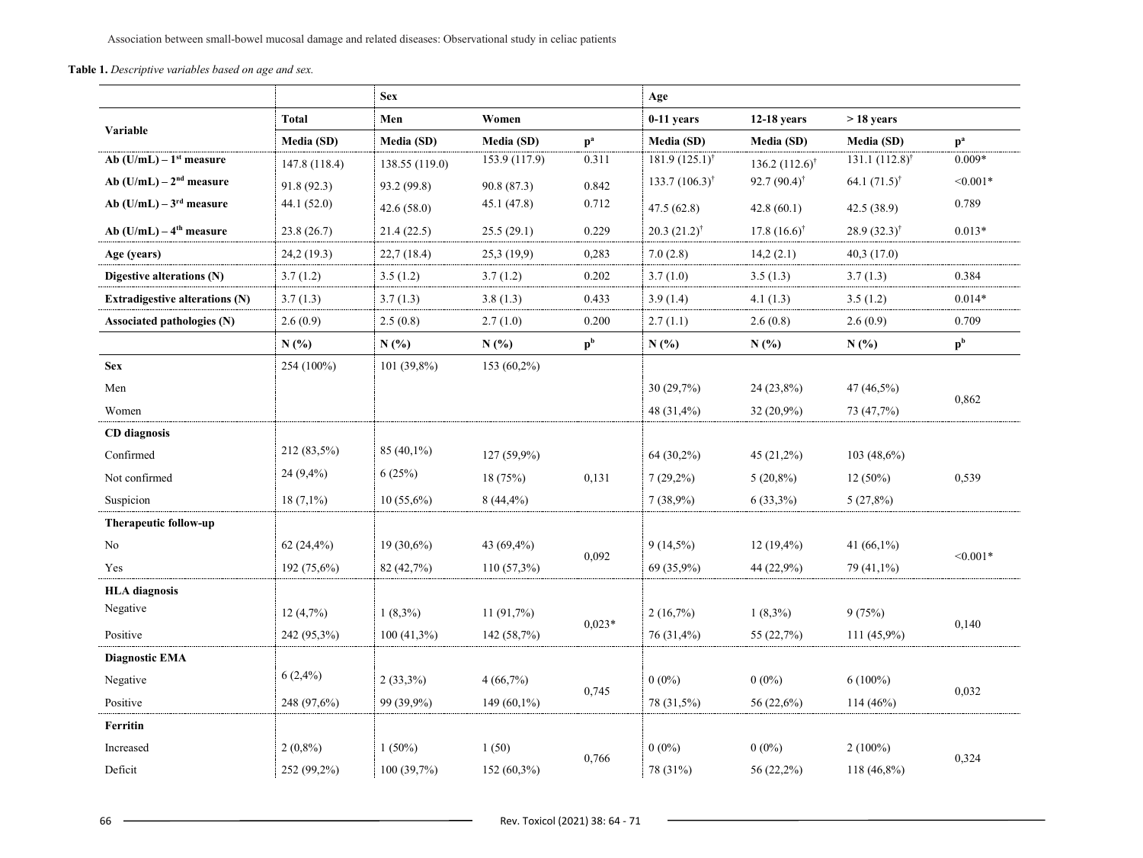Association between small-bowel mucosal damage and related diseases: Observational study in celiac patients

**Table 1.** *Descriptive variables based on age and sex.*

|                                       |               | <b>Sex</b>     |                   | Age            |                             |                              |                              |                |
|---------------------------------------|---------------|----------------|-------------------|----------------|-----------------------------|------------------------------|------------------------------|----------------|
| Variable                              | <b>Total</b>  | Men            | Women             |                | $0-11$ years                | $12-18$ years                | $>18$ years                  |                |
|                                       | Media (SD)    | Media (SD)     | <b>Media (SD)</b> | $p^a$          | Media (SD)                  | Media (SD)                   | Media (SD)                   | $p^a$          |
| Ab $(U/mL) - 1st measure$             | 147.8 (118.4) | 138.55 (119.0) | 153.9 (117.9)     | 0.311          | $181.9(125.1)$ <sup>†</sup> | 136.2 $(112.6)$ <sup>†</sup> | 131.1 $(112.8)$ <sup>†</sup> | $0.009*$       |
| Ab $(U/mL) - 2nd measure$             | 91.8(92.3)    | 93.2 (99.8)    | 90.8(87.3)        | 0.842          | $133.7(106.3)^{\dagger}$    | $92.7(90.4)^{\dagger}$       | 64.1 $(71.5)$ <sup>†</sup>   | $< 0.001*$     |
| Ab $(U/mL) - 3rd$ measure             | 44.1(52.0)    | 42.6(58.0)     | 45.1 (47.8)       | 0.712          | 47.5 (62.8)                 | 42.8(60.1)                   | 42.5 (38.9)                  | 0.789          |
| Ab $(U/mL) - 4th measure$             | 23.8(26.7)    | 21.4(22.5)     | 25.5(29.1)        | 0.229          | $20.3 (21.2)^{\dagger}$     | $17.8(16.6)$ <sup>†</sup>    | $28.9(32.3)$ <sup>†</sup>    | $0.013*$       |
| Age (years)                           | 24,2(19.3)    | 22,7(18.4)     | 25,3(19,9)        | 0,283          | 7.0(2.8)                    | 14,2(2.1)                    | 40,3(17.0)                   |                |
| Digestive alterations $(N)$           | 3.7(1.2)      | 3.5(1.2)       | 3.7(1.2)          | 0.202          | 3.7(1.0)                    | 3.5(1.3)                     | 3.7(1.3)                     | 0.384          |
| <b>Extradigestive alterations (N)</b> | 3.7(1.3)      | 3.7(1.3)       | 3.8(1.3)          | 0.433          | 3.9(1.4)                    | 4.1(1.3)                     | 3.5(1.2)                     | $0.014*$       |
| Associated pathologies (N)            | 2.6(0.9)      | 2.5(0.8)       | 2.7(1.0)          | 0.200          | 2.7(1.1)                    | 2.6(0.8)                     | 2.6(0.9)                     | 0.709          |
|                                       | N(%)          | N(%            | N(%               | p <sup>b</sup> | N(%                         | N(%)                         | N(%)                         | p <sup>b</sup> |
| <b>Sex</b>                            | 254 (100%)    | $101(39,8\%)$  | $153(60,2\%)$     |                |                             |                              |                              |                |
| Men                                   |               |                |                   |                | 30 (29,7%)                  | 24 (23,8%)                   | 47 (46,5%)                   | 0,862          |
| Women                                 |               |                |                   |                | 48 (31,4%)                  | 32 (20,9%)                   | 73 (47,7%)                   |                |
| <b>CD</b> diagnosis                   |               |                |                   |                |                             |                              |                              |                |
| Confirmed                             | 212 (83,5%)   | $85(40,1\%)$   | 127 (59,9%)       |                | 64 (30,2%)                  | 45 (21,2%)                   | $103(48,6\%)$                |                |
| Not confirmed                         | $24(9,4\%)$   | 6(25%)         | 18(75%)           | 0,131          | $7(29,2\%)$                 | $5(20,8\%)$                  | $12(50\%)$                   | 0,539          |
| Suspicion                             | $18(7,1\%)$   | $10(55,6\%)$   | $8(44,4\%)$       |                | 7(38,9%)                    | $6(33,3\%)$                  | 5(27,8%)                     |                |
| Therapeutic follow-up                 |               |                |                   |                |                             |                              |                              |                |
| No                                    | 62(24,4%)     | $19(30,6\%)$   | 43 (69,4%)        | 0,092          | $9(14,5\%)$                 | $12(19,4\%)$                 | 41 $(66,1\%)$                | $< 0.001*$     |
| Yes                                   | 192 (75,6%)   | 82 (42,7%)     | $110(57,3\%)$     |                | 69 (35,9%)                  | 44 (22,9%)                   | 79 (41,1%)                   |                |
| <b>HLA</b> diagnosis                  |               |                |                   |                |                             |                              |                              |                |
| Negative                              | 12(4,7%)      | $1(8,3\%)$     | 11(91,7%)         | $0.023*$       | 2(16,7%)                    | $1(8,3\%)$                   | 9(75%)                       | 0,140          |
| Positive                              | 242 (95,3%)   | $100(41,3\%)$  | 142 (58,7%)       |                | 76 (31,4%)                  | 55 (22,7%)                   | $111(45,9\%)$                |                |
| <b>Diagnostic EMA</b>                 |               |                |                   |                |                             |                              |                              |                |
| Negative                              | $6(2,4\%)$    | $2(33,3\%)$    | 4(66,7%)          |                | $0(0\%)$                    | $0(0\%)$                     | $6(100\%)$                   | 0,032          |
| Positive                              | 248 (97,6%)   | 99 (39,9%)     | $149(60,1\%)$     | 0,745          | 78 (31,5%)                  | 56 (22,6%)                   | $114(46\%)$                  |                |
| Ferritin                              |               |                |                   |                |                             |                              |                              |                |
| Increased                             | $2(0,8\%)$    | $1(50\%)$      | 1(50)             |                | $0(0\%)$                    | $0(0\%)$                     | $2(100\%)$                   | 0,324          |
| Deficit                               | 252 (99,2%)   | 100(39,7%)     | $152(60,3\%)$     | 0,766          | 78 (31%)                    | 56 (22,2%)                   | $118(46,8\%)$                |                |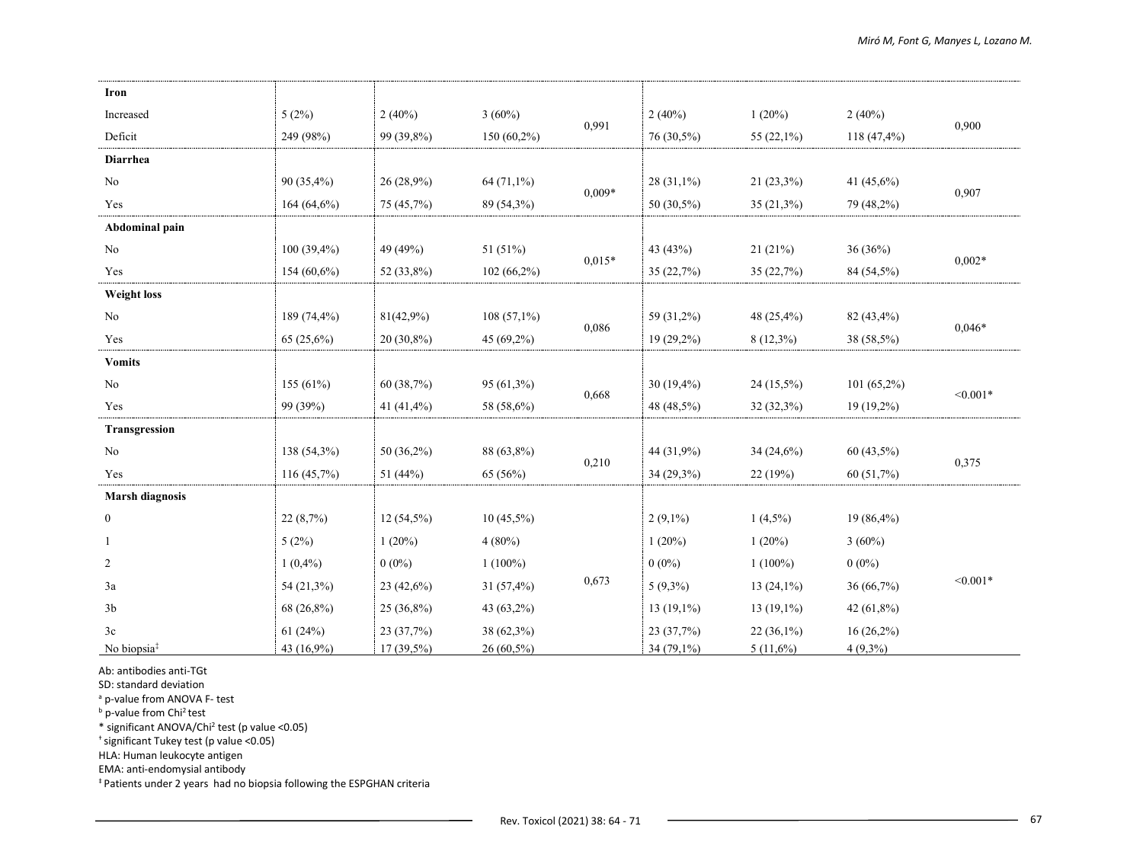| Iron                    |                |              |               |          |               |               |               |            |
|-------------------------|----------------|--------------|---------------|----------|---------------|---------------|---------------|------------|
| Increased               | 5(2%)          | 2(40%)       | $3(60\%)$     | 0,991    | 2(40%)        | 1(20%)        | 2(40%)        | 0,900      |
| Deficit                 | 249 (98%)      | 99 (39,8%)   | $150(60,2\%)$ |          | 76 (30,5%)    | 55 $(22,1\%)$ | 118 (47,4%)   |            |
| <b>Diarrhea</b>         |                |              |               |          |               |               |               |            |
| No                      | $90(35,4\%)$   | 26(28,9%)    | $64(71,1\%)$  | $0,009*$ | 28 (31,1%)    | $21(23,3\%)$  | 41 (45,6%)    | 0,907      |
| Yes                     | 164 $(64,6\%)$ | 75 (45,7%)   | 89 (54,3%)    |          | 50 $(30,5\%)$ | $35(21,3\%)$  | 79 (48,2%)    |            |
| Abdominal pain          |                |              |               |          |               |               |               |            |
| No                      | $100(39,4\%)$  | 49 (49%)     | 51 (51%)      |          | 43 (43%)      | 21(21%)       | 36 (36%)      | $0,002*$   |
| Yes                     | $154(60,6\%)$  | 52 (33,8%)   | $102(66,2\%)$ | $0,015*$ | 35 (22,7%)    | 35(22,7%)     | 84 (54,5%)    |            |
| <b>Weight loss</b>      |                |              |               |          |               |               |               |            |
| No                      | 189 (74,4%)    | 81(42,9%)    | $108(57,1\%)$ |          | 59 (31,2%)    | 48 (25,4%)    | 82 (43,4%)    | $0,046*$   |
| Yes                     | $65(25,6\%)$   | $20(30,8\%)$ | $45(69,2\%)$  | 0,086    | 19 (29,2%)    | $8(12,3\%)$   | 38 (58,5%)    |            |
| <b>Vomits</b>           |                |              |               |          |               |               |               |            |
| No                      | 155 $(61%)$    | 60 (38,7%)   | $95(61,3\%)$  | 0,668    | $30(19,4\%)$  | 24 (15,5%)    | $101(65,2\%)$ | $< 0.001*$ |
| Yes                     | 99 (39%)       | 41 (41,4%)   | 58 (58,6%)    |          | 48 (48,5%)    | $32(32,3\%)$  | 19 (19,2%)    |            |
| Transgression           |                |              |               |          |               |               |               |            |
| No                      | 138 (54,3%)    | $50(36,2\%)$ | 88 (63,8%)    | 0,210    | 44 (31,9%)    | 34(24,6%)     | $60(43,5\%)$  | 0,375      |
| Yes                     | 116(45,7%)     | 51 (44%)     | 65 (56%)      |          | 34 (29,3%)    | 22(19%)       | 60 (51,7%)    |            |
| <b>Marsh diagnosis</b>  |                |              |               |          |               |               |               |            |
| $\bf{0}$                | 22(8,7%)       | $12(54,5\%)$ | $10(45,5\%)$  |          | $2(9,1\%)$    | $1(4,5\%)$    | 19 (86,4%)    |            |
| 1                       | 5(2%)          | 1(20%)       | $4(80\%)$     |          | 1(20%)        | 1(20%)        | 3(60%)        |            |
| $\overline{c}$          | $1(0,4\%)$     | $0(0\%)$     | $1(100\%)$    | 0,673    | $0(0\%)$      | $1(100\%)$    | $0(0\%)$      |            |
| 3a                      | 54 (21,3%)     | $23(42,6\%)$ | $31(57,4\%)$  |          | $5(9,3\%)$    | $13(24,1\%)$  | 36 (66,7%)    | $< 0.001*$ |
| 3 <sub>b</sub>          | 68 (26,8%)     | $25(36,8\%)$ | 43 (63,2%)    |          | $13(19,1\%)$  | $13(19,1\%)$  | 42 (61,8%)    |            |
| 3c                      | 61(24%)        | 23 (37,7%)   | 38 (62,3%)    |          | 23 (37,7%)    | $22(36,1\%)$  | $16(26,2\%)$  |            |
| No biopsia <sup>‡</sup> | 43 (16,9%)     | $17(39,5\%)$ | 26 (60,5%)    |          | 34 (79,1%)    | $5(11,6\%)$   | $4(9,3\%)$    |            |

Ab: antibodies anti-TGt

SD: standard deviation

<sup>a</sup> p-value from ANOVA F- test

**b** p-value from Chi<sup>2</sup> test

\* significant ANOVA/Chi2 test (p value <0.05)

† significant Tukey test (p value <0.05)

HLA: Human leukocyte antigen

EMA: anti-endomysial antibody

‡ Patients under 2 years had no biopsia following the ESPGHAN criteria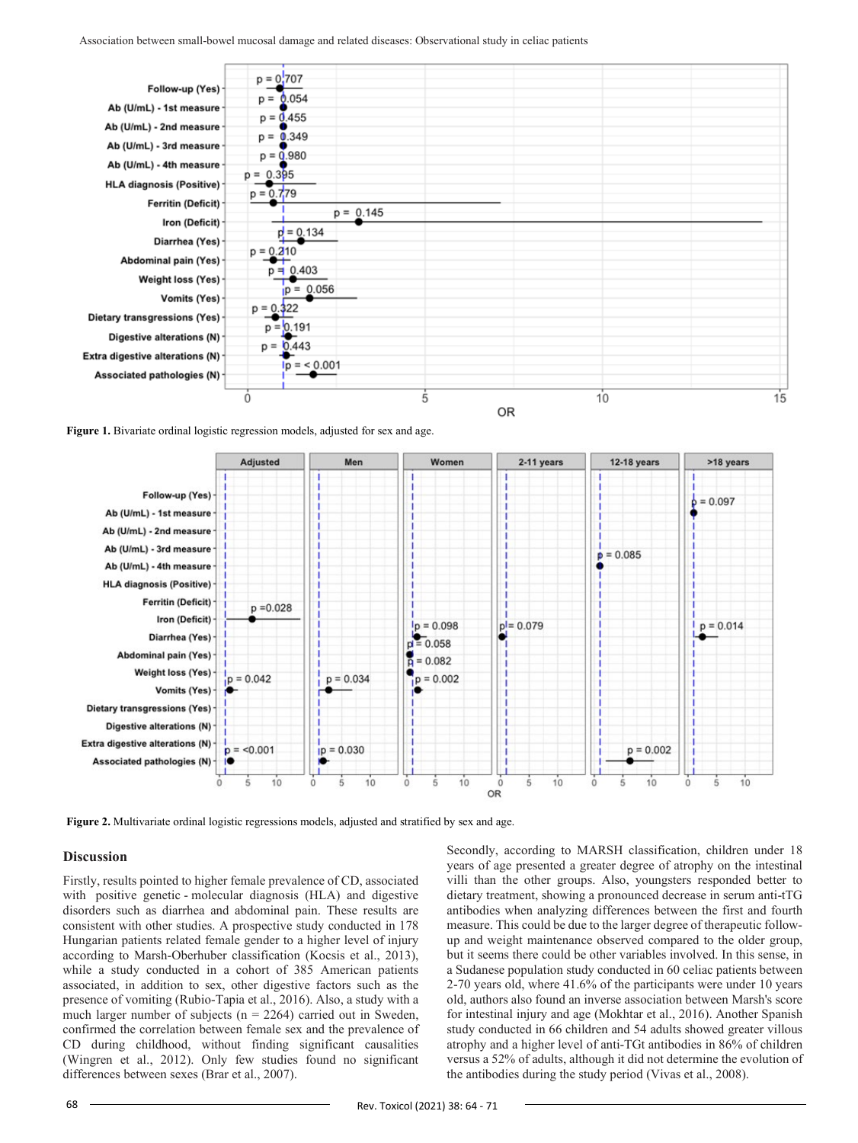

**Figure 1.** Bivariate ordinal logistic regression models, adjusted for sex and age.



**Figure 2.** Multivariate ordinal logistic regressions models, adjusted and stratified by sex and age.

#### **Discussion**

Firstly, results pointed to higher female prevalence of CD, associated with positive genetic - molecular diagnosis (HLA) and digestive disorders such as diarrhea and abdominal pain. These results are consistent with other studies. A prospective study conducted in 178 Hungarian patients related female gender to a higher level of injury according to Marsh-Oberhuber classification (Kocsis et al., 2013), while a study conducted in a cohort of 385 American patients associated, in addition to sex, other digestive factors such as the presence of vomiting (Rubio-Tapia et al., 2016). Also, a study with a much larger number of subjects ( $n = 2264$ ) carried out in Sweden, confirmed the correlation between female sex and the prevalence of CD during childhood, without finding significant causalities (Wingren et al., 2012). Only few studies found no significant differences between sexes (Brar et al., 2007).

Secondly, according to MARSH classification, children under 18 years of age presented a greater degree of atrophy on the intestinal villi than the other groups. Also, youngsters responded better to dietary treatment, showing a pronounced decrease in serum anti-tTG antibodies when analyzing differences between the first and fourth measure. This could be due to the larger degree of therapeutic followup and weight maintenance observed compared to the older group, but it seems there could be other variables involved. In this sense, in a Sudanese population study conducted in 60 celiac patients between 2-70 years old, where 41.6% of the participants were under 10 years old, authors also found an inverse association between Marsh's score for intestinal injury and age (Mokhtar et al., 2016). Another Spanish study conducted in 66 children and 54 adults showed greater villous atrophy and a higher level of anti-TGt antibodies in 86% of children versus a 52% of adults, although it did not determine the evolution of the antibodies during the study period (Vivas et al., 2008).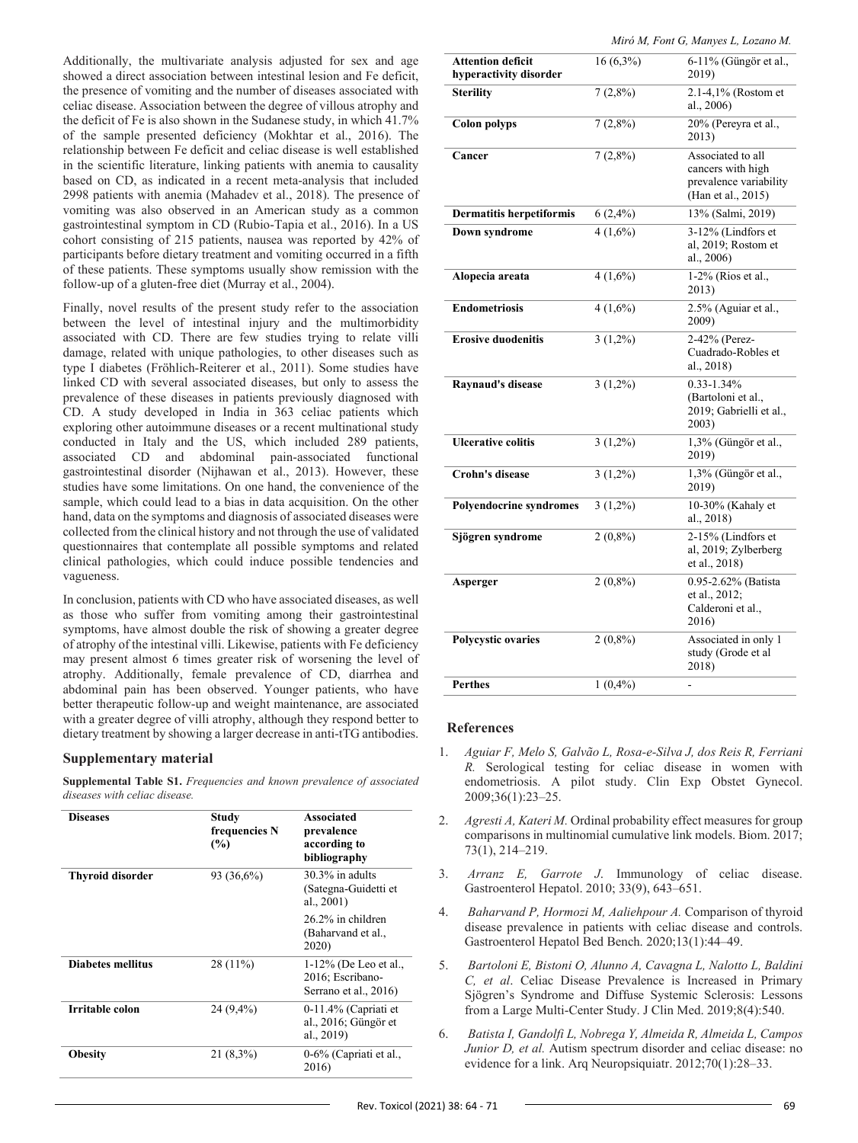Additionally, the multivariate analysis adjusted for sex and age showed a direct association between intestinal lesion and Fe deficit, the presence of vomiting and the number of diseases associated with celiac disease. Association between the degree of villous atrophy and the deficit of Fe is also shown in the Sudanese study, in which 41.7% of the sample presented deficiency (Mokhtar et al., 2016). The relationship between Fe deficit and celiac disease is well established in the scientific literature, linking patients with anemia to causality based on CD, as indicated in a recent meta-analysis that included 2998 patients with anemia (Mahadev et al., 2018). The presence of vomiting was also observed in an American study as a common gastrointestinal symptom in CD (Rubio-Tapia et al., 2016). In a US cohort consisting of 215 patients, nausea was reported by 42% of participants before dietary treatment and vomiting occurred in a fifth of these patients. These symptoms usually show remission with the follow-up of a gluten-free diet (Murray et al., 2004).

Finally, novel results of the present study refer to the association between the level of intestinal injury and the multimorbidity associated with CD. There are few studies trying to relate villi damage, related with unique pathologies, to other diseases such as type I diabetes (Fröhlich-Reiterer et al., 2011). Some studies have linked CD with several associated diseases, but only to assess the prevalence of these diseases in patients previously diagnosed with CD. A study developed in India in 363 celiac patients which exploring other autoimmune diseases or a recent multinational study conducted in Italy and the US, which included 289 patients, associated CD and abdominal pain-associated functional gastrointestinal disorder (Nijhawan et al., 2013). However, these studies have some limitations. On one hand, the convenience of the sample, which could lead to a bias in data acquisition. On the other hand, data on the symptoms and diagnosis of associated diseases were collected from the clinical history and not through the use of validated questionnaires that contemplate all possible symptoms and related clinical pathologies, which could induce possible tendencies and vagueness.

In conclusion, patients with CD who have associated diseases, as well as those who suffer from vomiting among their gastrointestinal symptoms, have almost double the risk of showing a greater degree of atrophy of the intestinal villi. Likewise, patients with Fe deficiency may present almost 6 times greater risk of worsening the level of atrophy. Additionally, female prevalence of CD, diarrhea and abdominal pain has been observed. Younger patients, who have better therapeutic follow-up and weight maintenance, are associated with a greater degree of villi atrophy, although they respond better to dietary treatment by showing a larger decrease in anti-tTG antibodies.

### **Supplementary material**

**Supplemental Table S1.** *Frequencies and known prevalence of associated diseases with celiac disease.*

| <b>Diseases</b>         | Study<br>frequencies N<br>$\frac{9}{6}$ | <b>Associated</b><br>prevalence<br>according to<br>bibliography       |
|-------------------------|-----------------------------------------|-----------------------------------------------------------------------|
| <b>Thyroid disorder</b> | 93 (36,6%)                              | $30.3\%$ in adults<br>(Sategna-Guidetti et<br>al., $2001$ )           |
|                         |                                         | 26.2% in children<br>(Baharvand et al.,<br>2020)                      |
| Diabetes mellitus       | 28 (11%)                                | $1-12\%$ (De Leo et al.,<br>2016; Escribano-<br>Serrano et al., 2016) |
| Irritable colon         | 24 (9.4%)                               | $0-11.4\%$ (Capriati et<br>al., 2016; Güngör et<br>al., 2019)         |
| <b>Obesity</b>          | $21(8,3\%)$                             | 0-6% (Capriati et al.,<br>2016)                                       |

|  |  |  |  | Miró M, Font G, Manyes L, Lozano M. |  |
|--|--|--|--|-------------------------------------|--|
|--|--|--|--|-------------------------------------|--|

|                                                    |             | <i>MHO M, Font O, Manyes L, Lozano M.</i>                                              |
|----------------------------------------------------|-------------|----------------------------------------------------------------------------------------|
| <b>Attention deficit</b><br>hyperactivity disorder | $16(6,3\%)$ | 6-11% (Güngör et al.,<br>2019)                                                         |
| <b>Sterility</b>                                   | $7(2,8\%)$  | $2.1 - 4,1%$ (Rostom et<br>al., 2006)                                                  |
| <b>Colon polyps</b>                                | $7(2,8\%)$  | 20% (Pereyra et al.,<br>2013)                                                          |
| Cancer                                             | $7(2,8\%)$  | Associated to all<br>cancers with high<br>prevalence variability<br>(Han et al., 2015) |
| <b>Dermatitis herpetiformis</b>                    | $6(2,4\%)$  | 13% (Salmi, 2019)                                                                      |
| <b>Down syndrome</b>                               | $4(1,6\%)$  | 3-12% (Lindfors et<br>al, 2019; Rostom et<br>al., 2006)                                |
| Alopecia areata                                    | $4(1,6\%)$  | 1-2% (Rios et al.,<br>2013)                                                            |
| <b>Endometriosis</b>                               | $4(1,6\%)$  | 2.5% (Aguiar et al.,<br>2009)                                                          |
| <b>Erosive duodenitis</b>                          | $3(1,2\%)$  | 2-42% (Perez-<br>Cuadrado-Robles et<br>al., 2018)                                      |
| Raynaud's disease                                  | $3(1,2\%)$  | $0.33 - 1.34\%$<br>(Bartoloni et al.,<br>2019; Gabrielli et al.,<br>2003)              |
| <b>Ulcerative colitis</b>                          | $3(1,2\%)$  | 1,3% (Güngör et al.,<br>2019)                                                          |
| <b>Crohn's disease</b>                             | $3(1,2\%)$  | $1,3%$ (Güngör et al.,<br>2019)                                                        |
| <b>Polyendocrine syndromes</b>                     | $3(1,2\%)$  | $10-30\%$ (Kahaly et<br>al., 2018)                                                     |
| Sjögren syndrome                                   | $2(0,8\%)$  | 2-15% (Lindfors et<br>al, 2019; Zylberberg<br>et al., 2018)                            |
| Asperger                                           | $2(0,8\%)$  | 0.95-2.62% (Batista<br>et al., 2012;<br>Calderoni et al.,<br>2016)                     |
| Polycystic ovaries                                 | $2(0,8\%)$  | Associated in only 1<br>study (Grode et al<br>2018)                                    |
| <b>Perthes</b>                                     | $1(0,4\%)$  |                                                                                        |

#### **References**

- 1. *Aguiar F, Melo S, Galvão L, Rosa-e-Silva J, dos Reis R, Ferriani R.* Serological testing for celiac disease in women with endometriosis. A pilot study. Clin Exp Obstet Gynecol. 2009;36(1):23–25.
- 2. *Agresti A, Kateri M.* Ordinal probability effect measures for group comparisons in multinomial cumulative link models. Biom. 2017; 73(1), 214–219.
- 3. *Arranz E, Garrote J*. Immunology of celiac disease. Gastroenterol Hepatol. 2010; 33(9), 643–651.
- 4. *Baharvand P, Hormozi M, Aaliehpour A.* Comparison of thyroid disease prevalence in patients with celiac disease and controls. Gastroenterol Hepatol Bed Bench. 2020;13(1):44–49.
- 5. *Bartoloni E, Bistoni O, Alunno A, Cavagna L, Nalotto L, Baldini C, et al*. Celiac Disease Prevalence is Increased in Primary Sjögren's Syndrome and Diffuse Systemic Sclerosis: Lessons from a Large Multi-Center Study. J Clin Med. 2019;8(4):540.
- 6. *Batista I, Gandolfi L, Nobrega Y, Almeida R, Almeida L, Campos Junior D, et al.* Autism spectrum disorder and celiac disease: no evidence for a link. Arq Neuropsiquiatr. 2012;70(1):28–33.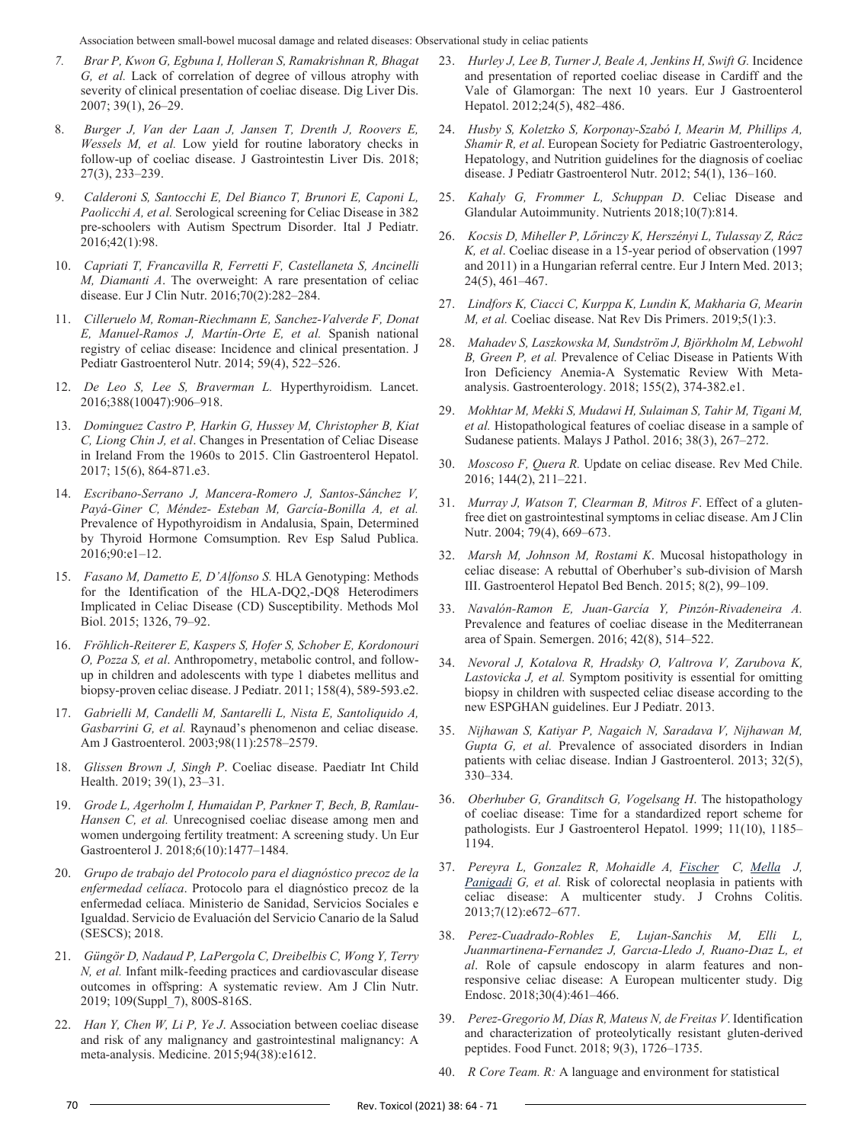Association between small-bowel mucosal damage and related diseases: Observational study in celiac patients

- *7. Brar P, Kwon G, Egbuna I, Holleran S, Ramakrishnan R, Bhagat G, et al.* Lack of correlation of degree of villous atrophy with severity of clinical presentation of coeliac disease. Dig Liver Dis. 2007; 39(1), 26–29.
- 8. *Burger J, Van der Laan J, Jansen T, Drenth J, Roovers E, Wessels M, et al.* Low yield for routine laboratory checks in follow-up of coeliac disease. J Gastrointestin Liver Dis. 2018; 27(3), 233–239.
- 9. *Calderoni S, Santocchi E, Del Bianco T, Brunori E, Caponi L, Paolicchi A, et al.* Serological screening for Celiac Disease in 382 pre-schoolers with Autism Spectrum Disorder. Ital J Pediatr. 2016;42(1):98.
- 10. *Capriati T, Francavilla R, Ferretti F, Castellaneta S, Ancinelli M, Diamanti A*. The overweight: A rare presentation of celiac disease. Eur J Clin Nutr. 2016;70(2):282–284.
- 11. *Cilleruelo M, Roman-Riechmann E, Sanchez-Valverde F, Donat E, Manuel-Ramos J, Martín-Orte E, et al.* Spanish national registry of celiac disease: Incidence and clinical presentation. J Pediatr Gastroenterol Nutr. 2014; 59(4), 522–526.
- 12. *De Leo S, Lee S, Braverman L.* Hyperthyroidism. Lancet. 2016;388(10047):906–918.
- 13. *Dominguez Castro P, Harkin G, Hussey M, Christopher B, Kiat C, Liong Chin J, et al*. Changes in Presentation of Celiac Disease in Ireland From the 1960s to 2015. Clin Gastroenterol Hepatol. 2017; 15(6), 864-871.e3.
- 14. *Escribano-Serrano J, Mancera-Romero J, Santos-Sánchez V, Payá-Giner C, Méndez- Esteban M, García-Bonilla A, et al.* Prevalence of Hypothyroidism in Andalusia, Spain, Determined by Thyroid Hormone Comsumption. Rev Esp Salud Publica. 2016;90:e1–12.
- 15. *Fasano M, Dametto E, D'Alfonso S.* HLA Genotyping: Methods for the Identification of the HLA-DQ2,-DQ8 Heterodimers Implicated in Celiac Disease (CD) Susceptibility. Methods Mol Biol. 2015; 1326, 79–92.
- 16. *Fröhlich-Reiterer E, Kaspers S, Hofer S, Schober E, Kordonouri O, Pozza S, et al*. Anthropometry, metabolic control, and followup in children and adolescents with type 1 diabetes mellitus and biopsy-proven celiac disease. J Pediatr. 2011; 158(4), 589-593.e2.
- 17. *Gabrielli M, Candelli M, Santarelli L, Nista E, Santoliquido A, Gasbarrini G, et al.* Raynaud's phenomenon and celiac disease. Am J Gastroenterol. 2003;98(11):2578–2579.
- 18. *Glissen Brown J, Singh P*. Coeliac disease. Paediatr Int Child Health. 2019; 39(1), 23–31.
- 19. *Grode L, Agerholm I, Humaidan P, Parkner T, Bech, B, Ramlau-*Hansen C, et al. Unrecognised coeliac disease among men and women undergoing fertility treatment: A screening study. Un Eur Gastroenterol J. 2018;6(10):1477–1484.
- 20. *Grupo de trabajo del Protocolo para el diagnóstico precoz de la enfermedad celíaca*. Protocolo para el diagnóstico precoz de la enfermedad celíaca. Ministerio de Sanidad, Servicios Sociales e Igualdad. Servicio de Evaluación del Servicio Canario de la Salud (SESCS); 2018.
- 21. *Güngör D, Nadaud P, LaPergola C, Dreibelbis C, Wong Y, Terry N, et al.* Infant milk-feeding practices and cardiovascular disease outcomes in offspring: A systematic review. Am J Clin Nutr. 2019; 109(Suppl\_7), 800S-816S.
- 22. *Han Y, Chen W, Li P, Ye J*. Association between coeliac disease and risk of any malignancy and gastrointestinal malignancy: A meta-analysis. Medicine. 2015;94(38):e1612.
- 23. *Hurley J, Lee B, Turner J, Beale A, Jenkins H, Swift G.* Incidence and presentation of reported coeliac disease in Cardiff and the Vale of Glamorgan: The next 10 years. Eur J Gastroenterol Hepatol. 2012;24(5), 482–486.
- 24. *Husby S, Koletzko S, Korponay-Szabó I, Mearin M, Phillips A, Shamir R, et al*. European Society for Pediatric Gastroenterology, Hepatology, and Nutrition guidelines for the diagnosis of coeliac disease. J Pediatr Gastroenterol Nutr. 2012; 54(1), 136–160.
- 25. *Kahaly G, Frommer L, Schuppan D*. Celiac Disease and Glandular Autoimmunity. Nutrients 2018;10(7):814.
- 26. *Kocsis D, Miheller P, Lőrinczy K, Herszényi L, Tulassay Z, Rácz K, et al*. Coeliac disease in a 15-year period of observation (1997 and 2011) in a Hungarian referral centre. Eur J Intern Med. 2013; 24(5), 461–467.
- 27. *Lindfors K, Ciacci C, Kurppa K, Lundin K, Makharia G, Mearin M, et al.* Coeliac disease. Nat Rev Dis Primers. 2019;5(1):3.
- 28. *Mahadev S, Laszkowska M, Sundström J, Björkholm M, Lebwohl B, Green P, et al.* Prevalence of Celiac Disease in Patients With Iron Deficiency Anemia-A Systematic Review With Metaanalysis. Gastroenterology. 2018; 155(2), 374-382.e1.
- 29. *Mokhtar M, Mekki S, Mudawi H, Sulaiman S, Tahir M, Tigani M, et al.* Histopathological features of coeliac disease in a sample of Sudanese patients. Malays J Pathol. 2016; 38(3), 267–272.
- 30. *Moscoso F, Quera R.* Update on celiac disease. Rev Med Chile. 2016; 144(2), 211–221.
- 31. *Murray J, Watson T, Clearman B, Mitros F*. Effect of a glutenfree diet on gastrointestinal symptoms in celiac disease. Am J Clin Nutr. 2004; 79(4), 669–673.
- 32. *Marsh M, Johnson M, Rostami K*. Mucosal histopathology in celiac disease: A rebuttal of Oberhuber's sub-division of Marsh III. Gastroenterol Hepatol Bed Bench. 2015; 8(2), 99–109.
- 33. *Navalón-Ramon E, Juan-García Y, Pinzón-Rivadeneira A.* Prevalence and features of coeliac disease in the Mediterranean area of Spain. Semergen. 2016; 42(8), 514–522.
- 34. *Nevoral J, Kotalova R, Hradsky O, Valtrova V, Zarubova K, Lastovicka J, et al.* Symptom positivity is essential for omitting biopsy in children with suspected celiac disease according to the new ESPGHAN guidelines. Eur J Pediatr. 2013.
- 35. *Nijhawan S, Katiyar P, Nagaich N, Saradava V, Nijhawan M, Gupta G, et al.* Prevalence of associated disorders in Indian patients with celiac disease. Indian J Gastroenterol. 2013; 32(5), 330–334.
- 36. *Oberhuber G, Granditsch G, Vogelsang H*. The histopathology of coeliac disease: Time for a standardized report scheme for pathologists. Eur J Gastroenterol Hepatol. 1999; 11(10), 1185– 1194.
- 37. *Pereyra L, Gonzalez R, Mohaidle A, [Fischer](https://pubmed.ncbi.nlm.nih.gov/?term=Fischer+C&cauthor_id=23845233) C, [Mella](https://pubmed.ncbi.nlm.nih.gov/?term=Mella+JM&cauthor_id=23845233) J, [Panigadi](https://pubmed.ncbi.nlm.nih.gov/?term=Panigadi+GN&cauthor_id=23845233) G, et al.* Risk of colorectal neoplasia in patients with celiac disease: A multicenter study. J Crohns Colitis. 2013;7(12):e672–677.
- 38. *Perez-Cuadrado-Robles E, Lujan-Sanchis M, Elli L, Juanmartinena-Fernandez J, Garcıa-Lledo J, Ruano-Dıaz L, et al*. Role of capsule endoscopy in alarm features and nonresponsive celiac disease: A European multicenter study. Dig Endosc. 2018;30(4):461–466.
- 39. *Perez-Gregorio M, Días R, Mateus N, de Freitas V*. Identification and characterization of proteolytically resistant gluten-derived peptides. Food Funct. 2018; 9(3), 1726–1735.
- 40. *R Core Team. R:* A language and environment for statistical